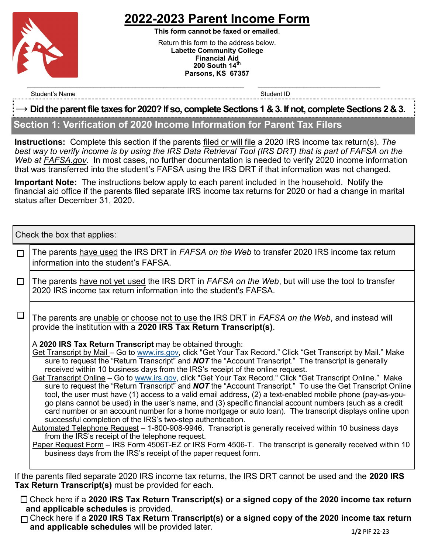

# **2022-2023 Parent Income Form**

**This form cannot be faxed or emailed**. Return this form to the address below. **Labette Community College Financial Aid 200 South 14th Parsons, KS 67357**

Student's Name Student ID and the Student ID student ID student ID and the Student ID student ID

#### **→ Did the parent file taxes for 2020? If so, complete Sections 1 & 3. If not, complete Sections 2 & 3.**

 $\mathcal{L}_\text{max} = \mathcal{L}_\text{max} = \mathcal{L}_\text{max} = \mathcal{L}_\text{max} = \mathcal{L}_\text{max} = \mathcal{L}_\text{max} = \mathcal{L}_\text{max} = \mathcal{L}_\text{max} = \mathcal{L}_\text{max} = \mathcal{L}_\text{max} = \mathcal{L}_\text{max} = \mathcal{L}_\text{max} = \mathcal{L}_\text{max} = \mathcal{L}_\text{max} = \mathcal{L}_\text{max} = \mathcal{L}_\text{max} = \mathcal{L}_\text{max} = \mathcal{L}_\text{max} = \mathcal{$ 

### **Section 1: Verification of 2020 Income Information for Parent Tax Filers**

**Instructions:** Complete this section if the parents filed or will file a 2020 IRS income tax return(s). *The best way to verify income is by using the IRS Data Retrieval Tool (IRS DRT) that is part of FAFSA on the Web at FAFSA.gov*. In most cases, no further documentation is needed to verify 2020 income information that was transferred into the student's FAFSA using the IRS DRT if that information was not changed.

**Important Note:** The instructions below apply to each parent included in the household. Notify the financial aid office if the parents filed separate IRS income tax returns for 2020 or had a change in marital status after December 31, 2020.

Check the box that applies:

| П      | The parents have used the IRS DRT in FAFSA on the Web to transfer 2020 IRS income tax return<br>information into the student's FAFSA.                                                                                                                                                                                                                                                                                                                                                                                                                                                                                                                                                                                                                                                                                                                                                                                                                                                                                                                                                                                                                                                                                                                                                                                                                        |  |  |  |
|--------|--------------------------------------------------------------------------------------------------------------------------------------------------------------------------------------------------------------------------------------------------------------------------------------------------------------------------------------------------------------------------------------------------------------------------------------------------------------------------------------------------------------------------------------------------------------------------------------------------------------------------------------------------------------------------------------------------------------------------------------------------------------------------------------------------------------------------------------------------------------------------------------------------------------------------------------------------------------------------------------------------------------------------------------------------------------------------------------------------------------------------------------------------------------------------------------------------------------------------------------------------------------------------------------------------------------------------------------------------------------|--|--|--|
| $\Box$ | The parents have not yet used the IRS DRT in FAFSA on the Web, but will use the tool to transfer<br>2020 IRS income tax return information into the student's FAFSA.                                                                                                                                                                                                                                                                                                                                                                                                                                                                                                                                                                                                                                                                                                                                                                                                                                                                                                                                                                                                                                                                                                                                                                                         |  |  |  |
| $\Box$ | The parents are unable or choose not to use the IRS DRT in FAFSA on the Web, and instead will<br>provide the institution with a 2020 IRS Tax Return Transcript(s).                                                                                                                                                                                                                                                                                                                                                                                                                                                                                                                                                                                                                                                                                                                                                                                                                                                                                                                                                                                                                                                                                                                                                                                           |  |  |  |
|        | A 2020 IRS Tax Return Transcript may be obtained through:<br>Get Transcript by Mail - Go to www.irs.gov, click "Get Your Tax Record." Click "Get Transcript by Mail." Make<br>sure to request the "Return Transcript" and <b>NOT</b> the "Account Transcript." The transcript is generally<br>received within 10 business days from the IRS's receipt of the online request.<br>Get Transcript Online - Go to www.irs.gov, click "Get Your Tax Record." Click "Get Transcript Online." Make<br>sure to request the "Return Transcript" and NOT the "Account Transcript." To use the Get Transcript Online<br>tool, the user must have (1) access to a valid email address, (2) a text-enabled mobile phone (pay-as-you-<br>go plans cannot be used) in the user's name, and (3) specific financial account numbers (such as a credit<br>card number or an account number for a home mortgage or auto loan). The transcript displays online upon<br>successful completion of the IRS's two-step authentication.<br>Automated Telephone Request - 1-800-908-9946. Transcript is generally received within 10 business days<br>from the IRS's receipt of the telephone request.<br>Paper Request Form - IRS Form 4506T-EZ or IRS Form 4506-T. The transcript is generally received within 10<br>business days from the IRS's receipt of the paper request form. |  |  |  |
|        | If the parents filed separate 2020 IRS income tax returns, the IRS DRT cannot be used and the 2020 IRS                                                                                                                                                                                                                                                                                                                                                                                                                                                                                                                                                                                                                                                                                                                                                                                                                                                                                                                                                                                                                                                                                                                                                                                                                                                       |  |  |  |

**Tax Return Transcript(s)** must be provided for each. Check here if a **2020 IRS Tax Return Transcript(s) or a signed copy of the 2020 income tax return and applicable schedules** is provided.

Check here if a **2020 IRS Tax Return Transcript(s) or a signed copy of the 2020 income tax return and applicable schedules** will be provided later. **1/2 PIF 22-23** 1/2 PIF 22-23